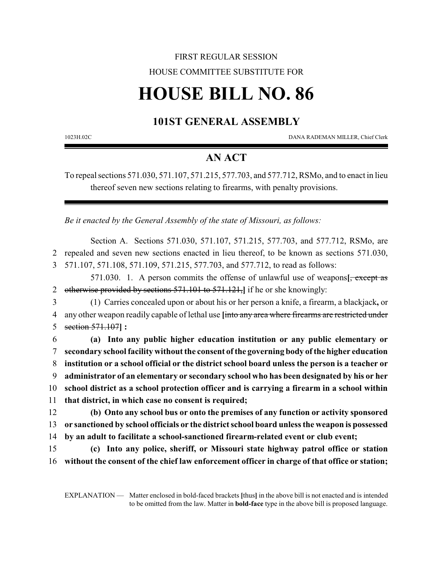## FIRST REGULAR SESSION HOUSE COMMITTEE SUBSTITUTE FOR

# **HOUSE BILL NO. 86**

## **101ST GENERAL ASSEMBLY**

1023H.02C DANA RADEMAN MILLER, Chief Clerk

### **AN ACT**

To repeal sections 571.030, 571.107, 571.215, 577.703, and 577.712, RSMo, and to enact in lieu thereof seven new sections relating to firearms, with penalty provisions.

*Be it enacted by the General Assembly of the state of Missouri, as follows:*

Section A. Sections 571.030, 571.107, 571.215, 577.703, and 577.712, RSMo, are 2 repealed and seven new sections enacted in lieu thereof, to be known as sections 571.030, 3 571.107, 571.108, 571.109, 571.215, 577.703, and 577.712, to read as follows:

571.030. 1. A person commits the offense of unlawful use of weapons**[**, except as 2 otherwise provided by sections 571.101 to 571.121,**]** if he or she knowingly:

3 (1) Carries concealed upon or about his or her person a knife, a firearm, a blackjack**,** or 4 any other weapon readily capable of lethal use **[**into any area where firearms are restricted under 5 section 571.107**] :**

 **(a) Into any public higher education institution or any public elementary or secondary school facility without the consent ofthe governing body ofthe higher education institution or a school official or the district school board unless the person is a teacher or administrator of an elementary or secondary school who has been designated by his or her school district as a school protection officer and is carrying a firearm in a school within that district, in which case no consent is required;**

12 **(b) Onto any school bus or onto the premises of any function or activity sponsored** 13 **or sanctioned by school officials or the district school board unless the weapon is possessed** 14 **by an adult to facilitate a school-sanctioned firearm-related event or club event;**

15 **(c) Into any police, sheriff, or Missouri state highway patrol office or station** 16 **without the consent of the chief law enforcement officer in charge of that office or station;**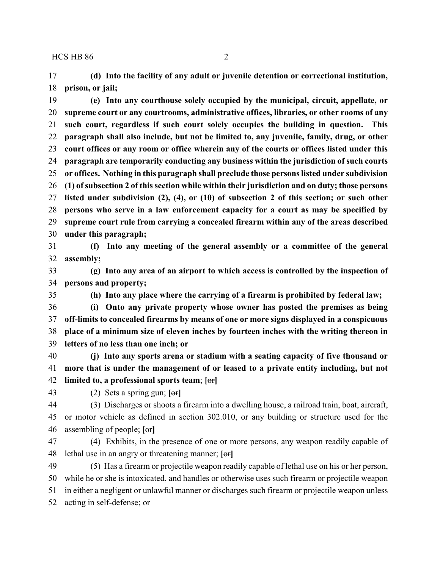**(d) Into the facility of any adult or juvenile detention or correctional institution, prison, or jail;**

 **(e) Into any courthouse solely occupied by the municipal, circuit, appellate, or supreme court or any courtrooms, administrative offices, libraries, or other rooms of any such court, regardless if such court solely occupies the building in question. This paragraph shall also include, but not be limited to, any juvenile, family, drug, or other court offices or any room or office wherein any of the courts or offices listed under this paragraph are temporarily conducting any business within the jurisdiction of such courts or offices. Nothing in this paragraph shall preclude those persons listed under subdivision (1) ofsubsection 2 of this section while within their jurisdiction and on duty; those persons listed under subdivision (2), (4), or (10) of subsection 2 of this section; or such other persons who serve in a law enforcement capacity for a court as may be specified by supreme court rule from carrying a concealed firearm within any of the areas described under this paragraph;**

 **(f) Into any meeting of the general assembly or a committee of the general assembly;**

 **(g) Into any area of an airport to which access is controlled by the inspection of persons and property;**

**(h) Into any place where the carrying of a firearm is prohibited by federal law;**

 **(i) Onto any private property whose owner has posted the premises as being off-limits to concealed firearms by means of one or more signs displayed in a conspicuous place of a minimum size of eleven inches by fourteen inches with the writing thereon in letters of no less than one inch; or**

 **(j) Into any sports arena or stadium with a seating capacity of five thousand or more that is under the management of or leased to a private entity including, but not limited to, a professional sports team**; **[**or**]**

(2) Sets a spring gun; **[**or**]**

 (3) Discharges or shoots a firearm into a dwelling house, a railroad train, boat, aircraft, or motor vehicle as defined in section 302.010, or any building or structure used for the assembling of people; **[**or**]**

 (4) Exhibits, in the presence of one or more persons, any weapon readily capable of lethal use in an angry or threatening manner; **[**or**]**

 (5) Has a firearm or projectile weapon readily capable of lethal use on his or her person, while he or she is intoxicated, and handles or otherwise uses such firearm or projectile weapon in either a negligent or unlawful manner or discharges such firearm or projectile weapon unless acting in self-defense; or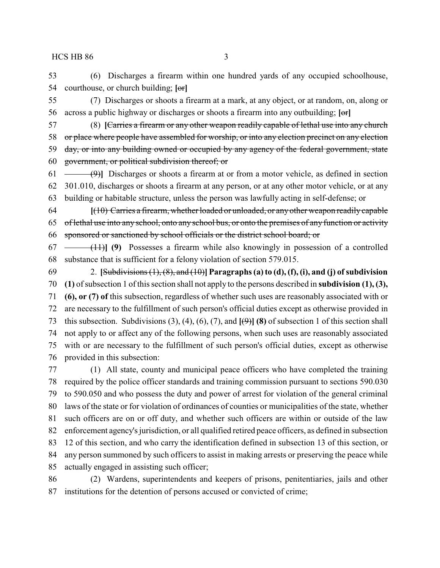(6) Discharges a firearm within one hundred yards of any occupied schoolhouse, courthouse, or church building; **[**or**]**

 (7) Discharges or shoots a firearm at a mark, at any object, or at random, on, along or across a public highway or discharges or shoots a firearm into any outbuilding; **[**or**]**

- (8) **[**Carries a firearm or any other weapon readily capable of lethal use into any church or place where people have assembled for worship, or into any election precinct on any election 59 day, or into any building owned or occupied by any agency of the federal government, state government, or political subdivision thereof; or
- (9)**]** Discharges or shoots a firearm at or from a motor vehicle, as defined in section 301.010, discharges or shoots a firearm at any person, or at any other motor vehicle, or at any building or habitable structure, unless the person was lawfully acting in self-defense; or

 **[**(10) Carries a firearm, whether loaded or unloaded, or anyother weapon readily capable of lethal use into any school, onto any school bus, or onto the premises of any function or activity sponsored or sanctioned by school officials or the district school board; or

 (11)**] (9)** Possesses a firearm while also knowingly in possession of a controlled substance that is sufficient for a felony violation of section 579.015.

 2. **[**Subdivisions (1), (8), and (10)**] Paragraphs (a) to (d), (f), (i), and (j) ofsubdivision (1)** of subsection 1 of this section shall not apply to the persons described in **subdivision (1), (3), (6), or (7) of** this subsection, regardless of whether such uses are reasonably associated with or are necessary to the fulfillment of such person's official duties except as otherwise provided in this subsection. Subdivisions (3), (4), (6), (7), and **[**(9)**] (8)** of subsection 1 of this section shall not apply to or affect any of the following persons, when such uses are reasonably associated with or are necessary to the fulfillment of such person's official duties, except as otherwise provided in this subsection:

 (1) All state, county and municipal peace officers who have completed the training required by the police officer standards and training commission pursuant to sections 590.030 to 590.050 and who possess the duty and power of arrest for violation of the general criminal laws of the state or for violation of ordinances of counties or municipalities of the state, whether such officers are on or off duty, and whether such officers are within or outside of the law enforcement agency's jurisdiction, or all qualified retired peace officers, as defined in subsection 12 of this section, and who carry the identification defined in subsection 13 of this section, or any person summoned by such officers to assist in making arrests or preserving the peace while actually engaged in assisting such officer;

 (2) Wardens, superintendents and keepers of prisons, penitentiaries, jails and other institutions for the detention of persons accused or convicted of crime;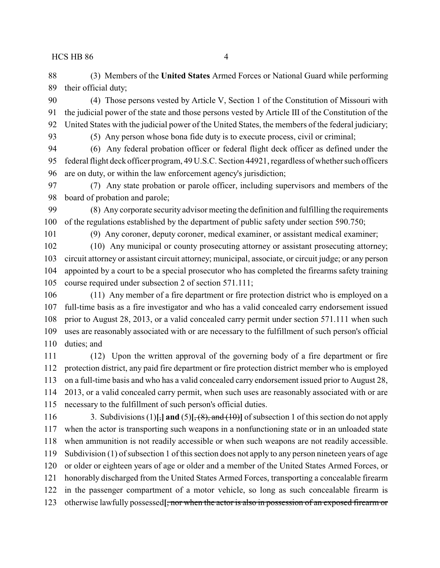(3) Members of the **United States** Armed Forces or National Guard while performing their official duty;

 (4) Those persons vested by Article V, Section 1 of the Constitution of Missouri with the judicial power of the state and those persons vested by Article III of the Constitution of the United States with the judicial power of the United States, the members of the federal judiciary;

(5) Any person whose bona fide duty is to execute process, civil or criminal;

 (6) Any federal probation officer or federal flight deck officer as defined under the federal flight deck officer program, 49 U.S.C. Section 44921, regardless of whether such officers are on duty, or within the law enforcement agency's jurisdiction;

 (7) Any state probation or parole officer, including supervisors and members of the board of probation and parole;

 (8) Any corporate security advisor meeting the definition and fulfilling the requirements of the regulations established by the department of public safety under section 590.750;

(9) Any coroner, deputy coroner, medical examiner, or assistant medical examiner;

 (10) Any municipal or county prosecuting attorney or assistant prosecuting attorney; circuit attorney or assistant circuit attorney; municipal, associate, or circuit judge; or any person appointed by a court to be a special prosecutor who has completed the firearms safety training course required under subsection 2 of section 571.111;

 (11) Any member of a fire department or fire protection district who is employed on a full-time basis as a fire investigator and who has a valid concealed carry endorsement issued prior to August 28, 2013, or a valid concealed carry permit under section 571.111 when such uses are reasonably associated with or are necessary to the fulfillment of such person's official duties; and

 (12) Upon the written approval of the governing body of a fire department or fire protection district, any paid fire department or fire protection district member who is employed on a full-time basis and who has a valid concealed carry endorsement issued prior to August 28, 2013, or a valid concealed carry permit, when such uses are reasonably associated with or are necessary to the fulfillment of such person's official duties.

 3. Subdivisions (1)**[**,**] and** (5)**[**, (8), and (10)**]** of subsection 1 of this section do not apply when the actor is transporting such weapons in a nonfunctioning state or in an unloaded state when ammunition is not readily accessible or when such weapons are not readily accessible. Subdivision (1) of subsection 1 of this section does not apply to any person nineteen years of age or older or eighteen years of age or older and a member of the United States Armed Forces, or honorably discharged from the United States Armed Forces, transporting a concealable firearm in the passenger compartment of a motor vehicle, so long as such concealable firearm is otherwise lawfully possessed**[**, nor when the actor is also in possession of an exposed firearm or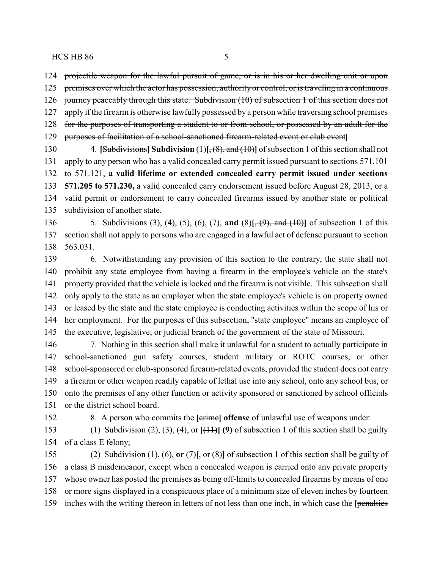projectile weapon for the lawful pursuit of game, or is in his or her dwelling unit or upon

125 premises over which the actor has possession, authority or control, or is traveling in a continuous

journey peaceably through this state. Subdivision (10) of subsection 1 of this section does not

 apply if the firearm is otherwise lawfully possessed by a person while traversing school premises for the purposes of transporting a student to or from school, or possessed by an adult for the

purposes of facilitation of a school-sanctioned firearm-related event or club event**]**.

 4. **[**Subdivisions**] Subdivision** (1)**[**, (8), and (10)**]** of subsection 1 of this section shall not apply to any person who has a valid concealed carry permit issued pursuant to sections 571.101 to 571.121, **a valid lifetime or extended concealed carry permit issued under sections 571.205 to 571.230,** a valid concealed carry endorsement issued before August 28, 2013, or a valid permit or endorsement to carry concealed firearms issued by another state or political subdivision of another state.

 5. Subdivisions (3), (4), (5), (6), (7), **and** (8)**[**, (9), and (10)**]** of subsection 1 of this section shall not apply to persons who are engaged in a lawful act of defense pursuant to section 563.031.

 6. Notwithstanding any provision of this section to the contrary, the state shall not prohibit any state employee from having a firearm in the employee's vehicle on the state's property provided that the vehicle is locked and the firearm is not visible. This subsection shall only apply to the state as an employer when the state employee's vehicle is on property owned or leased by the state and the state employee is conducting activities within the scope of his or her employment. For the purposes of this subsection, "state employee" means an employee of the executive, legislative, or judicial branch of the government of the state of Missouri.

 7. Nothing in this section shall make it unlawful for a student to actually participate in school-sanctioned gun safety courses, student military or ROTC courses, or other school-sponsored or club-sponsored firearm-related events, provided the student does not carry a firearm or other weapon readily capable of lethal use into any school, onto any school bus, or onto the premises of any other function or activity sponsored or sanctioned by school officials or the district school board.

8. A person who commits the **[**crime**] offense** of unlawful use of weapons under:

 (1) Subdivision (2), (3), (4), or **[**(11)**] (9)** of subsection 1 of this section shall be guilty of a class E felony;

 (2) Subdivision (1), (6), **or** (7)**[**, or (8)**]** of subsection 1 of this section shall be guilty of a class B misdemeanor, except when a concealed weapon is carried onto any private property whose owner has posted the premises as being off-limits to concealed firearms by means of one or more signs displayed in a conspicuous place of a minimum size of eleven inches by fourteen inches with the writing thereon in letters of not less than one inch, in which case the **[**penalties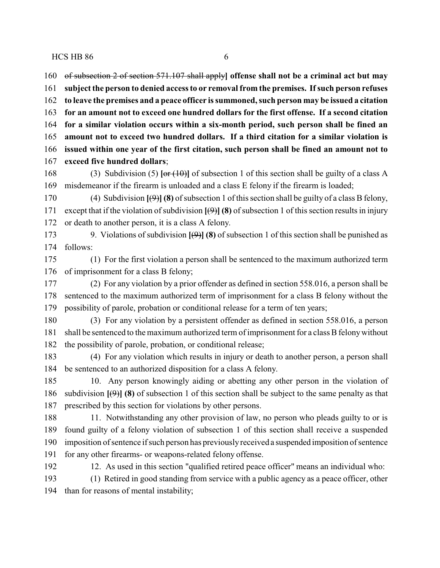of subsection 2 of section 571.107 shall apply**] offense shall not be a criminal act but may subject the person to denied access to or removal from the premises. Ifsuch person refuses to leave the premises and a peace officer is summoned, such person may be issued a citation for an amount not to exceed one hundred dollars for the first offense. If a second citation for a similar violation occurs within a six-month period, such person shall be fined an amount not to exceed two hundred dollars. If a third citation for a similar violation is issued within one year of the first citation, such person shall be fined an amount not to exceed five hundred dollars**;

 (3) Subdivision (5) **[**or (10)**]** of subsection 1 of this section shall be guilty of a class A misdemeanor if the firearm is unloaded and a class E felony if the firearm is loaded;

 (4) Subdivision **[**(9)**] (8)** of subsection 1 of this section shall be guilty of a class B felony, 171 except that if the violation of subdivision  $[\Theta]$  (8) of subsection 1 of this section results in injury or death to another person, it is a class A felony.

 9. Violations of subdivision **[**(9)**] (8)** of subsection 1 of this section shall be punished as follows:

 (1) For the first violation a person shall be sentenced to the maximum authorized term of imprisonment for a class B felony;

 (2) For any violation by a prior offender as defined in section 558.016, a person shall be sentenced to the maximum authorized term of imprisonment for a class B felony without the possibility of parole, probation or conditional release for a term of ten years;

 (3) For any violation by a persistent offender as defined in section 558.016, a person 181 shall be sentenced to the maximum authorized term of imprisonment for a class B felony without the possibility of parole, probation, or conditional release;

 (4) For any violation which results in injury or death to another person, a person shall be sentenced to an authorized disposition for a class A felony.

 10. Any person knowingly aiding or abetting any other person in the violation of subdivision **[**(9)**] (8)** of subsection 1 of this section shall be subject to the same penalty as that prescribed by this section for violations by other persons.

 11. Notwithstanding any other provision of law, no person who pleads guilty to or is found guilty of a felony violation of subsection 1 of this section shall receive a suspended imposition of sentence if such person has previouslyreceived a suspended imposition of sentence for any other firearms- or weapons-related felony offense.

12. As used in this section "qualified retired peace officer" means an individual who:

 (1) Retired in good standing from service with a public agency as a peace officer, other than for reasons of mental instability;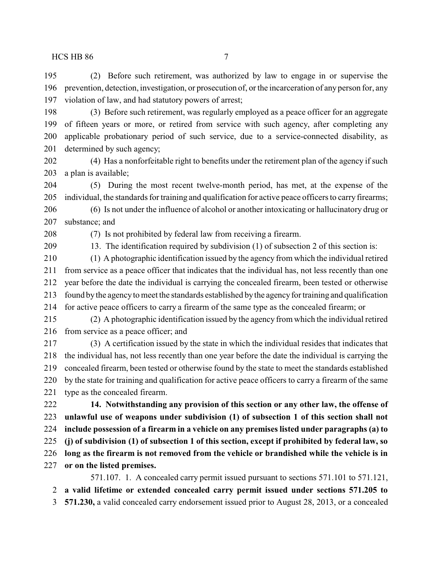(2) Before such retirement, was authorized by law to engage in or supervise the prevention, detection, investigation, or prosecution of, or the incarceration of any person for, any violation of law, and had statutory powers of arrest;

 (3) Before such retirement, was regularly employed as a peace officer for an aggregate of fifteen years or more, or retired from service with such agency, after completing any applicable probationary period of such service, due to a service-connected disability, as determined by such agency;

 (4) Has a nonforfeitable right to benefits under the retirement plan of the agency if such a plan is available;

 (5) During the most recent twelve-month period, has met, at the expense of the individual, the standards for training and qualification for active peace officers to carry firearms;

 (6) Is not under the influence of alcohol or another intoxicating or hallucinatory drug or substance; and

(7) Is not prohibited by federal law from receiving a firearm.

13. The identification required by subdivision (1) of subsection 2 of this section is:

 (1) A photographic identification issued by the agency from which the individual retired from service as a peace officer that indicates that the individual has, not less recently than one year before the date the individual is carrying the concealed firearm, been tested or otherwise found by the agencyto meet the standards established bythe agencyfor training and qualification for active peace officers to carry a firearm of the same type as the concealed firearm; or

 (2) A photographic identification issued by the agency from which the individual retired from service as a peace officer; and

 (3) A certification issued by the state in which the individual resides that indicates that the individual has, not less recently than one year before the date the individual is carrying the concealed firearm, been tested or otherwise found by the state to meet the standards established by the state for training and qualification for active peace officers to carry a firearm of the same type as the concealed firearm.

 **14. Notwithstanding any provision of this section or any other law, the offense of unlawful use of weapons under subdivision (1) of subsection 1 of this section shall not include possession of a firearm in a vehicle on any premises listed under paragraphs (a) to (j) of subdivision (1) of subsection 1 of this section, except if prohibited by federal law, so long as the firearm is not removed from the vehicle or brandished while the vehicle is in**

**or on the listed premises.**

571.107. 1. A concealed carry permit issued pursuant to sections 571.101 to 571.121,

**a valid lifetime or extended concealed carry permit issued under sections 571.205 to**

**571.230,** a valid concealed carry endorsement issued prior to August 28, 2013, or a concealed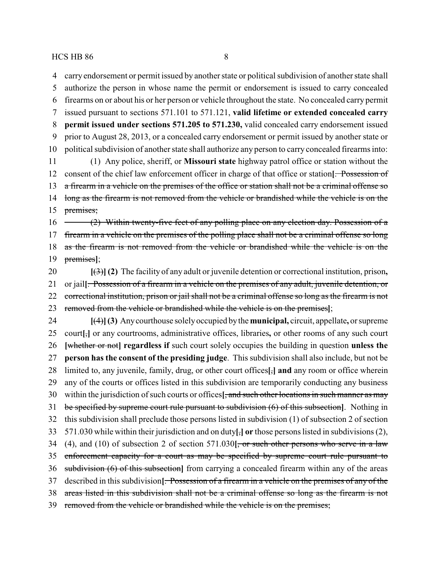carry endorsement or permit issued by another state or political subdivision of another state shall authorize the person in whose name the permit or endorsement is issued to carry concealed

 firearms on or about his or her person or vehicle throughout the state. No concealed carry permit issued pursuant to sections 571.101 to 571.121, **valid lifetime or extended concealed carry permit issued under sections 571.205 to 571.230,** valid concealed carry endorsement issued prior to August 28, 2013, or a concealed carry endorsement or permit issued by another state or political subdivision of another state shall authorize any person to carry concealed firearms into: (1) Any police, sheriff, or **Missouri state** highway patrol office or station without the consent of the chief law enforcement officer in charge of that office or station**[**. Possession of 13 a firearm in a vehicle on the premises of the office or station shall not be a criminal offense so 14 long as the firearm is not removed from the vehicle or brandished while the vehicle is on the premises; 16 (2) Within twenty-five feet of any polling place on any election day. Possession of a 17 firearm in a vehicle on the premises of the polling place shall not be a criminal offense so long as the firearm is not removed from the vehicle or brandished while the vehicle is on the premises**]**; **[**(3)**] (2)** The facility of any adult or juvenile detention or correctional institution, prison**,** or jail**[**. Possession of a firearm in a vehicle on the premises of any adult, juvenile detention, or 22 correctional institution, prison or jail shall not be a criminal offense so long as the firearm is not removed from the vehicle or brandished while the vehicle is on the premises**]**; **[**(4)**](3)** Anycourthouse solelyoccupied bythe **municipal,** circuit, appellate**,** or supreme court**[**,**]** or any courtrooms, administrative offices, libraries**,** or other rooms of any such court **[**whether or not**] regardless if** such court solely occupies the building in question **unless the person has the consent of the presiding judge**. This subdivision shall also include, but not be limited to, any juvenile, family, drug, or other court offices**[**,**] and** any room or office wherein any of the courts or offices listed in this subdivision are temporarily conducting any business within the jurisdiction of such courts or offices**[**, and such other locations in such manner as may be specified by supreme court rule pursuant to subdivision (6) of this subsection**]**. Nothing in this subdivision shall preclude those persons listed in subdivision (1) of subsection 2 of section 571.030 while within their jurisdiction and on duty**[**,**] or** those persons listed in subdivisions (2), (4), and (10) of subsection 2 of section 571.030**[**, or such other persons who serve in a law 35 enforcement capacity for a court as may be specified by supreme court rule pursuant to subdivision (6) of this subsection**]** from carrying a concealed firearm within any of the areas described in this subdivision**[**. Possession of a firearm in a vehicle on the premises of any of the areas listed in this subdivision shall not be a criminal offense so long as the firearm is not removed from the vehicle or brandished while the vehicle is on the premises;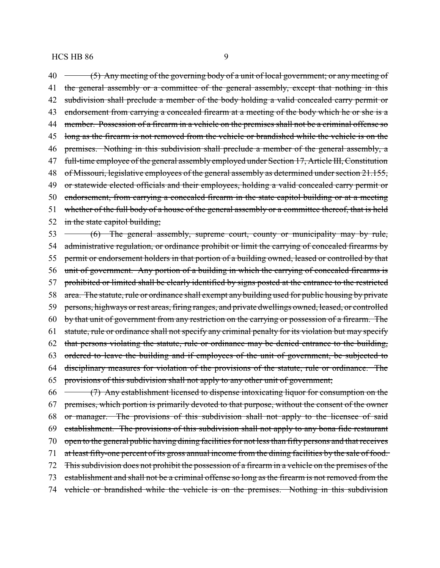40 (5) Any meeting of the governing body of a unit of local government; or any meeting of 41 the general assembly or a committee of the general assembly, except that nothing in this 42 subdivision shall preclude a member of the body holding a valid concealed carry permit or 43 endorsement from carrying a concealed firearm at a meeting of the body which he or she is a 44 member. Possession of a firearm in a vehicle on the premises shall not be a criminal offense so 45 long as the firearm is not removed from the vehicle or brandished while the vehicle is on the 46 premises. Nothing in this subdivision shall preclude a member of the general assembly, a 47 full-time employee of the general assembly employed under Section 17, Article III, Constitution 48 of Missouri, legislative employees of the general assembly as determined under section 21.155, 49 or statewide elected officials and their employees, holding a valid concealed carry permit or 50 endorsement, from carrying a concealed firearm in the state capitol building or at a meeting 51 whether of the full body of a house of the general assembly or a committee thereof, that is held 52 in the state capitol building; 53 (6) The general assembly, supreme court, county or municipality may by rule, 54 administrative regulation, or ordinance prohibit or limit the carrying of concealed firearms by

 permit or endorsement holders in that portion of a building owned, leased or controlled by that unit of government. Any portion of a building in which the carrying of concealed firearms is 57 prohibited or limited shall be clearly identified by signs posted at the entrance to the restricted area. The statute, rule or ordinance shall exempt any building used for public housing by private 59 persons, highways or rest areas, firing ranges, and private dwellings owned, leased, or controlled by that unit of government from any restriction on the carrying or possession of a firearm. The statute, rule or ordinance shall not specify any criminal penalty for its violation but may specify that persons violating the statute, rule or ordinance may be denied entrance to the building, ordered to leave the building and if employees of the unit of government, be subjected to disciplinary measures for violation of the provisions of the statute, rule or ordinance. The provisions of this subdivision shall not apply to any other unit of government; 66 (7) Any establishment licensed to dispense intoxicating liquor for consumption on the 67 premises, which portion is primarily devoted to that purpose, without the consent of the owner or manager. The provisions of this subdivision shall not apply to the licensee of said

 establishment. The provisions of this subdivision shall not apply to any bona fide restaurant 70 open to the general public having dining facilities for not less than fifty persons and that receives 71 at least fifty-one percent of its gross annual income from the dining facilities by the sale of food. This subdivision does not prohibit the possession of a firearm in a vehicle on the premises of the establishment and shall not be a criminal offense so long as the firearm is not removed from the vehicle or brandished while the vehicle is on the premises. Nothing in this subdivision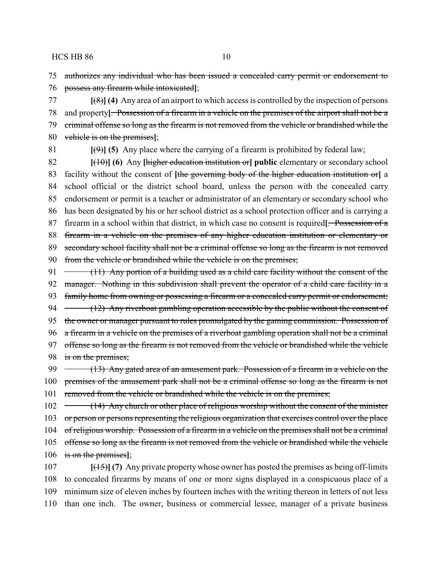75 authorizes any individual who has been issued a concealed carry permit or endorsement to 76 possess any firearm while intoxicated**]**;

 **[**(8)**] (4)** Any area of an airport to which access is controlled by the inspection of persons and property**[**. Possession of a firearm in a vehicle on the premises of the airport shall not be a criminal offense so long as the firearm is not removed from the vehicle or brandished while the vehicle is on the premises**]**;

81  $[\langle 9 \rangle]$  (5) Any place where the carrying of a firearm is prohibited by federal law;

 **[**(10)**] (6)** Any **[**higher education institution or**] public** elementary or secondary school facility without the consent of **[**the governing body of the higher education institution or**]** a school official or the district school board, unless the person with the concealed carry endorsement or permit is a teacher or administrator of an elementary or secondary school who has been designated by his or her school district as a school protection officer and is carrying a firearm in a school within that district, in which case no consent is required**[**. Possession of a firearm in a vehicle on the premises of any higher education institution or elementary or 89 secondary school facility shall not be a criminal offense so long as the firearm is not removed from the vehicle or brandished while the vehicle is on the premises;

91 (11) Any portion of a building used as a child care facility without the consent of the 92 manager. Nothing in this subdivision shall prevent the operator of a child care facility in a 93 family home from owning or possessing a firearm or a concealed carry permit or endorsement; 94 (12) Any riverboat gambling operation accessible by the public without the consent of 95 the owner or manager pursuant to rules promulgated by the gaming commission. Possession of 96 a firearm in a vehicle on the premises of a riverboat gambling operation shall not be a criminal 97 offense so long as the firearm is not removed from the vehicle or brandished while the vehicle 98 is on the premises;

99  $-$  (13) Any gated area of an amusement park. Possession of a firearm in a vehicle on the 100 premises of the amusement park shall not be a criminal offense so long as the firearm is not 101 removed from the vehicle or brandished while the vehicle is on the premises;

102 (14) Any church or other place of religious worship without the consent of the minister 103 or person or persons representing the religious organization that exercises control over the place 104 of religious worship. Possession of a firearm in a vehicle on the premises shall not be a criminal 105 offense so long as the firearm is not removed from the vehicle or brandished while the vehicle 106 is on the premises**]**;

 **[**(15)**] (7)** Any private property whose owner has posted the premises as being off-limits to concealed firearms by means of one or more signs displayed in a conspicuous place of a minimum size of eleven inches by fourteen inches with the writing thereon in letters of not less than one inch. The owner, business or commercial lessee, manager of a private business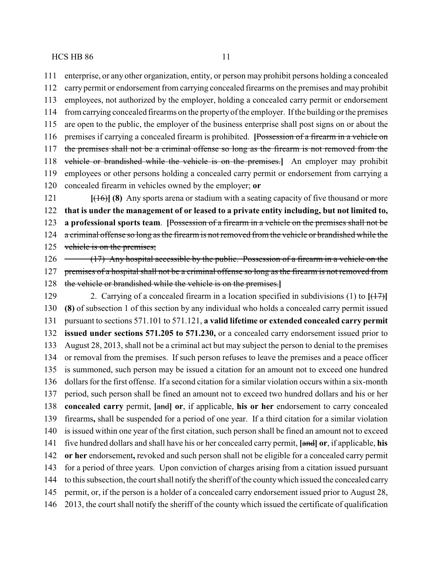enterprise, or any other organization, entity, or person may prohibit persons holding a concealed carry permit or endorsement from carrying concealed firearms on the premises and may prohibit employees, not authorized by the employer, holding a concealed carry permit or endorsement from carrying concealed firearms on the propertyof the employer. If the building or the premises are open to the public, the employer of the business enterprise shall post signs on or about the premises if carrying a concealed firearm is prohibited. **[**Possession of a firearm in a vehicle on the premises shall not be a criminal offense so long as the firearm is not removed from the vehicle or brandished while the vehicle is on the premises.**]** An employer may prohibit employees or other persons holding a concealed carry permit or endorsement from carrying a concealed firearm in vehicles owned by the employer; **or [**(16)**] (8)** Any sports arena or stadium with a seating capacity of five thousand or more **that is under the management of or leased to a private entity including, but not limited to, a professional sports team**. **[**Possession of a firearm in a vehicle on the premises shall not be a criminal offense so long as the firearm is not removed from the vehicle or brandished while the 125 vehicle is on the premises; 126 (17) Any hospital accessible by the public. Possession of a firearm in a vehicle on the 127 premises of a hospital shall not be a criminal offense so long as the firearm is not removed from the vehicle or brandished while the vehicle is on the premises.**]** 2. Carrying of a concealed firearm in a location specified in subdivisions (1) to **[**(17)**] (8)** of subsection 1 of this section by any individual who holds a concealed carry permit issued pursuant to sections 571.101 to 571.121, **a valid lifetime or extended concealed carry permit issued under sections 571.205 to 571.230,** or a concealed carry endorsement issued prior to August 28, 2013, shall not be a criminal act but may subject the person to denial to the premises or removal from the premises. If such person refuses to leave the premises and a peace officer is summoned, such person may be issued a citation for an amount not to exceed one hundred dollars for the first offense. If a second citation for a similar violation occurs within a six-month period, such person shall be fined an amount not to exceed two hundred dollars and his or her **concealed carry** permit, **[**and**] or**, if applicable, **his or her** endorsement to carry concealed firearms**,** shall be suspended for a period of one year. If a third citation for a similar violation is issued within one year of the first citation, such person shall be fined an amount not to exceed five hundred dollars and shall have his or her concealed carry permit, **[**and**] or**, if applicable, **his or her** endorsement**,** revoked and such person shall not be eligible for a concealed carry permit for a period of three years. Upon conviction of charges arising from a citation issued pursuant to this subsection, the court shall notify the sheriff of the countywhich issued the concealed carry permit, or, if the person is a holder of a concealed carry endorsement issued prior to August 28, 2013, the court shall notify the sheriff of the county which issued the certificate of qualification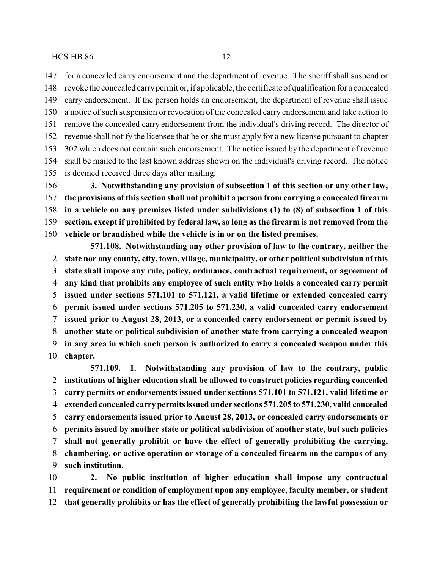for a concealed carry endorsement and the department of revenue. The sheriff shall suspend or revoke the concealed carrypermit or, if applicable, the certificate of qualification for a concealed carry endorsement. If the person holds an endorsement, the department of revenue shall issue a notice of such suspension or revocation of the concealed carry endorsement and take action to remove the concealed carry endorsement from the individual's driving record. The director of revenue shall notify the licensee that he or she must apply for a new license pursuant to chapter 302 which does not contain such endorsement. The notice issued by the department of revenue shall be mailed to the last known address shown on the individual's driving record. The notice is deemed received three days after mailing.

 **3. Notwithstanding any provision of subsection 1 of this section or any other law, the provisions of this section shall not prohibit a person from carrying a concealed firearm in a vehicle on any premises listed under subdivisions (1) to (8) of subsection 1 of this section, except if prohibited by federal law, so long as the firearm is not removed from the vehicle or brandished while the vehicle is in or on the listed premises.**

**571.108. Notwithstanding any other provision of law to the contrary, neither the state nor any county, city, town, village, municipality, or other political subdivision of this state shall impose any rule, policy, ordinance, contractual requirement, or agreement of any kind that prohibits any employee of such entity who holds a concealed carry permit issued under sections 571.101 to 571.121, a valid lifetime or extended concealed carry permit issued under sections 571.205 to 571.230, a valid concealed carry endorsement issued prior to August 28, 2013, or a concealed carry endorsement or permit issued by another state or political subdivision of another state from carrying a concealed weapon in any area in which such person is authorized to carry a concealed weapon under this chapter.**

**571.109. 1. Notwithstanding any provision of law to the contrary, public institutions of higher education shall be allowed to construct policies regarding concealed carry permits or endorsements issued under sections 571.101 to 571.121, valid lifetime or extended concealed carry permits issued under sections 571.205 to 571.230, valid concealed carry endorsements issued prior to August 28, 2013, or concealed carry endorsements or permits issued by another state or political subdivision of another state, but such policies shall not generally prohibit or have the effect of generally prohibiting the carrying, chambering, or active operation or storage of a concealed firearm on the campus of any such institution.**

 **2. No public institution of higher education shall impose any contractual requirement or condition of employment upon any employee, faculty member, or student that generally prohibits or has the effect of generally prohibiting the lawful possession or**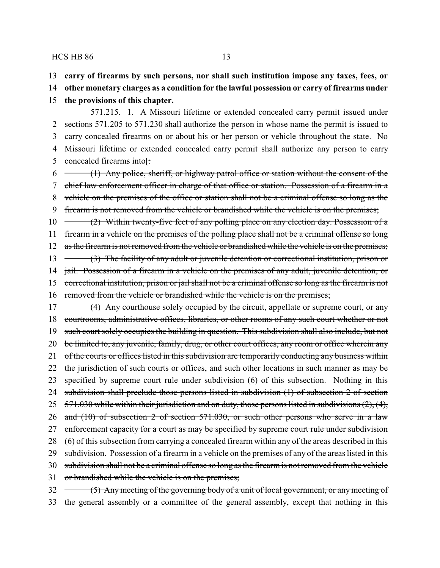13 **carry of firearms by such persons, nor shall such institution impose any taxes, fees, or**

14 **other monetary charges as a condition for the lawful possession or carry of firearms under**

15 **the provisions of this chapter.**

571.215. 1. A Missouri lifetime or extended concealed carry permit issued under sections 571.205 to 571.230 shall authorize the person in whose name the permit is issued to carry concealed firearms on or about his or her person or vehicle throughout the state. No Missouri lifetime or extended concealed carry permit shall authorize any person to carry concealed firearms into**[**:

 $6 \leftarrow$  (1) Any police, sheriff, or highway patrol office or station without the consent of the 7 chief law enforcement officer in charge of that office or station. Possession of a firearm in a 8 vehicle on the premises of the office or station shall not be a criminal offense so long as the 9 firearm is not removed from the vehicle or brandished while the vehicle is on the premises;

10 (2) Within twenty-five feet of any polling place on any election day. Possession of a 11 firearm in a vehicle on the premises of the polling place shall not be a criminal offense so long 12 as the firearm is not removed from the vehicle or brandished while the vehicle is on the premises; 13 (3) The facility of any adult or juvenile detention or correctional institution, prison or 14 jail. Possession of a firearm in a vehicle on the premises of any adult, juvenile detention, or 15 correctional institution, prison or jail shall not be a criminal offense so long as the firearm is not

16 removed from the vehicle or brandished while the vehicle is on the premises;

17 (4) Any courthouse solely occupied by the circuit, appellate or supreme court, or any 18 courtrooms, administrative offices, libraries, or other rooms of any such court whether or not 19 such court solely occupies the building in question. This subdivision shall also include, but not 20 be limited to, any juvenile, family, drug, or other court offices, any room or office wherein any 21 of the courts or offices listed in this subdivision are temporarily conducting any business within 22 the jurisdiction of such courts or offices, and such other locations in such manner as may be 23 specified by supreme court rule under subdivision (6) of this subsection. Nothing in this 24 subdivision shall preclude those persons listed in subdivision (1) of subsection 2 of section 25 571.030 while within their jurisdiction and on duty, those persons listed in subdivisions (2), (4), 26 and (10) of subsection 2 of section 571.030, or such other persons who serve in a law 27 enforcement capacity for a court as may be specified by supreme court rule under subdivision 28 (6) of this subsection from carrying a concealed firearm within any of the areas described in this 29 subdivision. Possession of a firearm in a vehicle on the premises of any of the areas listed in this 30 subdivision shall not be a criminal offense so long as the firearm is not removed from the vehicle 31 or brandished while the vehicle is on the premises; 32 (5) Any meeting of the governing body of a unit of local government, or any meeting of

33 the general assembly or a committee of the general assembly, except that nothing in this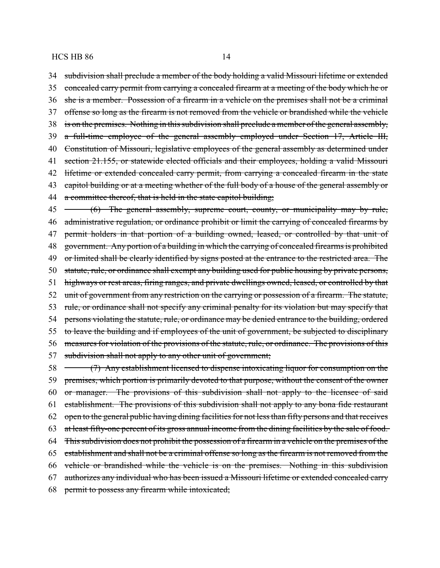34 subdivision shall preclude a member of the body holding a valid Missouri lifetime or extended 35 concealed carry permit from carrying a concealed firearm at a meeting of the body which he or 36 she is a member. Possession of a firearm in a vehicle on the premises shall not be a criminal 37 offense so long as the firearm is not removed from the vehicle or brandished while the vehicle 38 is on the premises. Nothing in this subdivision shall preclude a member of the general assembly, 39 a full-time employee of the general assembly employed under Section 17, Article III, 40 Constitution of Missouri, legislative employees of the general assembly as determined under 41 section 21.155, or statewide elected officials and their employees, holding a valid Missouri 42 lifetime or extended concealed carry permit, from carrying a concealed firearm in the state 43 capitol building or at a meeting whether of the full body of a house of the general assembly or 44 a committee thereof, that is held in the state capitol building; 45 (6) The general assembly, supreme court, county, or municipality may by rule, 46 administrative regulation, or ordinance prohibit or limit the carrying of concealed firearms by 47 permit holders in that portion of a building owned, leased, or controlled by that unit of 48 government. Any portion of a building in which the carrying of concealed firearms is prohibited 49 or limited shall be clearly identified by signs posted at the entrance to the restricted area. The 50 statute, rule, or ordinance shall exempt any building used for public housing by private persons, 51 highways or rest areas, firing ranges, and private dwellings owned, leased, or controlled by that 52 unit of government from any restriction on the carrying or possession of a firearm. The statute, 53 rule, or ordinance shall not specify any criminal penalty for its violation but may specify that 54 persons violating the statute, rule, or ordinance may be denied entrance to the building, ordered 55 to leave the building and if employees of the unit of government, be subjected to disciplinary 56 measures for violation of the provisions of the statute, rule, or ordinance. The provisions of this 57 subdivision shall not apply to any other unit of government; 58 (7) Any establishment licensed to dispense intoxicating liquor for consumption on the 59 premises, which portion is primarily devoted to that purpose, without the consent of the owner 60 or manager. The provisions of this subdivision shall not apply to the licensee of said 61 establishment. The provisions of this subdivision shall not apply to any bona fide restaurant 62 open to the general public having dining facilities for not less than fifty persons and that receives 63 at least fifty-one percent of its gross annual income from the dining facilities by the sale of food. 64 This subdivision does not prohibit the possession of a firearm in a vehicle on the premises of the 65 establishment and shall not be a criminal offense so long as the firearm is not removed from the 66 vehicle or brandished while the vehicle is on the premises. Nothing in this subdivision 67 authorizes any individual who has been issued a Missouri lifetime or extended concealed carry 68 permit to possess any firearm while intoxicated;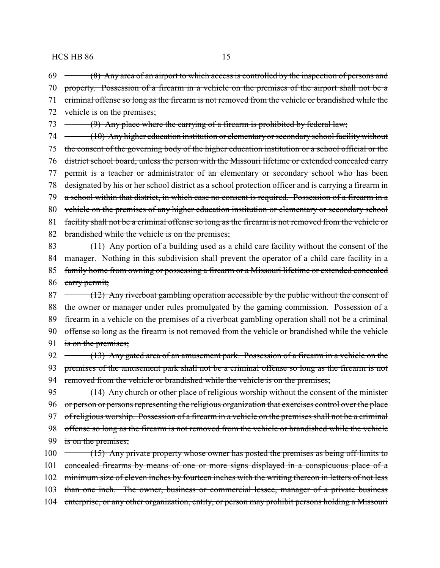69 (8) Any area of an airport to which access is controlled by the inspection of persons and

- 70 property. Possession of a firearm in a vehicle on the premises of the airport shall not be a
- 71 criminal offense so long as the firearm is not removed from the vehicle or brandished while the
- 72 vehicle is on the premises;
- $73 \leftarrow$  (9) Any place where the carrying of a firearm is prohibited by federal law;
- 74 (10) Any higher education institution or elementary or secondary school facility without 75 the consent of the governing body of the higher education institution or a school official or the 76 district school board, unless the person with the Missouri lifetime or extended concealed carry 77 permit is a teacher or administrator of an elementary or secondary school who has been 78 designated by his or her school district as a school protection officer and is carrying a firearm in 79 a school within that district, in which case no consent is required. Possession of a firearm in a 80 vehicle on the premises of any higher education institution or elementary or secondary school 81 facility shall not be a criminal offense so long as the firearm is not removed from the vehicle or
- 82 brandished while the vehicle is on the premises;
- 83  $\rightarrow$  (11) Any portion of a building used as a child care facility without the consent of the
- 84 manager. Nothing in this subdivision shall prevent the operator of a child care facility in a
- 85 family home from owning or possessing a firearm or a Missouri lifetime or extended concealed 86 carry permit;
- 87 (12) Any riverboat gambling operation accessible by the public without the consent of 88 the owner or manager under rules promulgated by the gaming commission. Possession of a 89 firearm in a vehicle on the premises of a riverboat gambling operation shall not be a criminal 90 offense so long as the firearm is not removed from the vehicle or brandished while the vehicle
- 91 is on the premises;
- 92 (13) Any gated area of an amusement park. Possession of a firearm in a vehicle on the 93 premises of the amusement park shall not be a criminal offense so long as the firearm is not 94 removed from the vehicle or brandished while the vehicle is on the premises;
- 95 (14) Any church or other place of religious worship without the consent of the minister 96 or person or persons representing the religious organization that exercises control over the place 97 of religious worship. Possession of a firearm in a vehicle on the premises shall not be a criminal 98 offense so long as the firearm is not removed from the vehicle or brandished while the vehicle 99 is on the premises;
- 100 (15) Any private property whose owner has posted the premises as being off-limits to 101 concealed firearms by means of one or more signs displayed in a conspicuous place of a 102 minimum size of eleven inches by fourteen inches with the writing thereon in letters of not less 103 than one inch. The owner, business or commercial lessee, manager of a private business 104 enterprise, or any other organization, entity, or person may prohibit persons holding a Missouri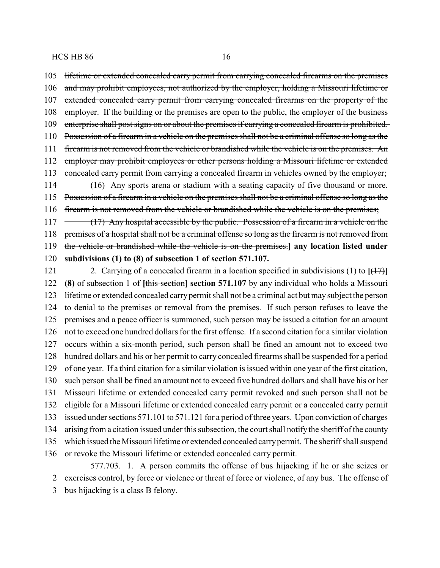lifetime or extended concealed carry permit from carrying concealed firearms on the premises 106 and may prohibit employees, not authorized by the employer, holding a Missouri lifetime or extended concealed carry permit from carrying concealed firearms on the property of the 108 employer. If the building or the premises are open to the public, the employer of the business enterprise shall post signs on or about the premises if carrying a concealed firearm is prohibited. Possession of a firearm in a vehicle on the premises shall not be a criminal offense so long as the firearm is not removed from the vehicle or brandished while the vehicle is on the premises. An 112 employer may prohibit employees or other persons holding a Missouri lifetime or extended concealed carry permit from carrying a concealed firearm in vehicles owned by the employer; 114 (16) Any sports arena or stadium with a seating capacity of five thousand or more. Possession of a firearm in a vehicle on the premises shall not be a criminal offense so long as the firearm is not removed from the vehicle or brandished while the vehicle is on the premises;

 $117 \rightarrow (17)$  Any hospital accessible by the public. Possession of a firearm in a vehicle on the premises of a hospital shall not be a criminal offense so long as the firearm is not removed from the vehicle or brandished while the vehicle is on the premises.**] any location listed under subdivisions (1) to (8) of subsection 1 of section 571.107.**

 2. Carrying of a concealed firearm in a location specified in subdivisions (1) to **[**(17)**] (8)** of subsection 1 of **[**this section**] section 571.107** by any individual who holds a Missouri lifetime or extended concealed carry permit shall not be a criminal act but may subject the person to denial to the premises or removal from the premises. If such person refuses to leave the premises and a peace officer is summoned, such person may be issued a citation for an amount not to exceed one hundred dollars for the first offense. If a second citation for a similar violation occurs within a six-month period, such person shall be fined an amount not to exceed two hundred dollars and his or her permit to carry concealed firearms shall be suspended for a period of one year. If a third citation for a similar violation is issued within one year of the first citation, such person shall be fined an amount not to exceed five hundred dollars and shall have his or her Missouri lifetime or extended concealed carry permit revoked and such person shall not be eligible for a Missouri lifetime or extended concealed carry permit or a concealed carry permit issued under sections 571.101 to 571.121 for a period of three years. Upon conviction of charges arising from a citation issued under this subsection, the court shall notify the sheriff of the county which issued the Missouri lifetime or extended concealed carrypermit. The sheriff shall suspend or revoke the Missouri lifetime or extended concealed carry permit. 577.703. 1. A person commits the offense of bus hijacking if he or she seizes or

exercises control, by force or violence or threat of force or violence, of any bus. The offense of

bus hijacking is a class B felony.